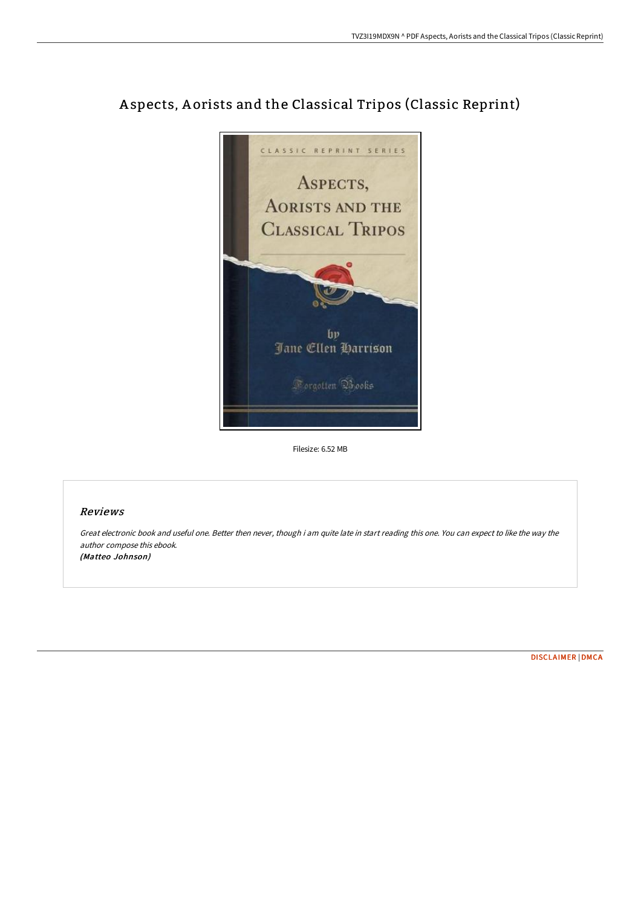

# A spects, A orists and the Classical Tripos (Classic Reprint)

Filesize: 6.52 MB

## Reviews

Great electronic book and useful one. Better then never, though i am quite late in start reading this one. You can expect to like the way the author compose this ebook. (Matteo Johnson)

[DISCLAIMER](http://digilib.live/disclaimer.html) | [DMCA](http://digilib.live/dmca.html)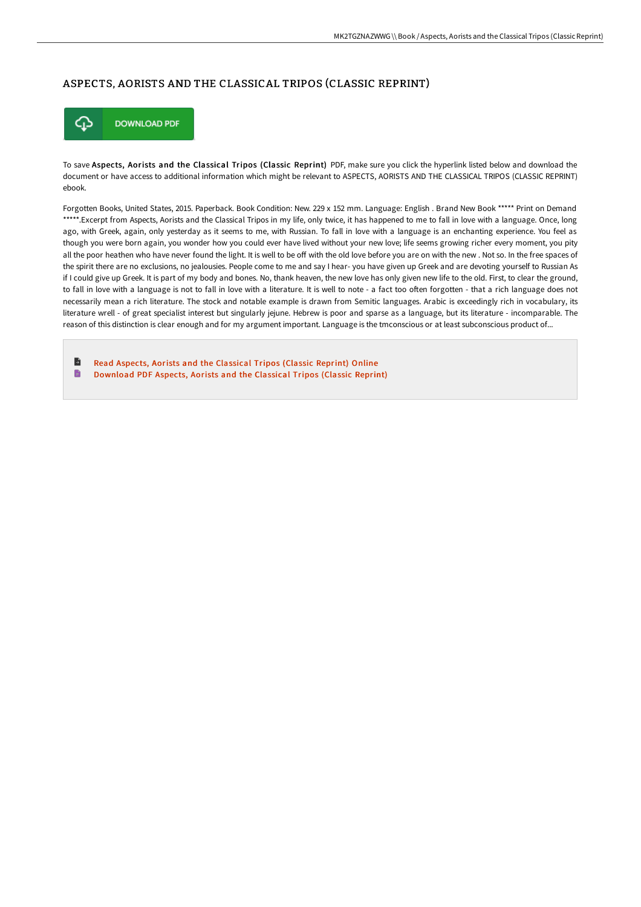### ASPECTS, AORISTS AND THE CLASSICAL TRIPOS (CLASSIC REPRINT)



To save Aspects, Aorists and the Classical Tripos (Classic Reprint) PDF, make sure you click the hyperlink listed below and download the document or have access to additional information which might be relevant to ASPECTS, AORISTS AND THE CLASSICAL TRIPOS (CLASSIC REPRINT) ebook.

Forgotten Books, United States, 2015. Paperback. Book Condition: New. 229 x 152 mm. Language: English . Brand New Book \*\*\*\*\* Print on Demand \*\*\*\*\*.Excerpt from Aspects, Aorists and the Classical Tripos in my life, only twice, it has happened to me to fall in love with a language. Once, long ago, with Greek, again, only yesterday as it seems to me, with Russian. To fall in love with a language is an enchanting experience. You feel as though you were born again, you wonder how you could ever have lived without your new love; life seems growing richer every moment, you pity all the poor heathen who have never found the light. It is well to be off with the old love before you are on with the new . Not so. In the free spaces of the spirit there are no exclusions, no jealousies. People come to me and say I hear- you have given up Greek and are devoting yourself to Russian As if I could give up Greek. It is part of my body and bones. No, thank heaven, the new love has only given new life to the old. First, to clear the ground, to fall in love with a language is not to fall in love with a literature. It is well to note - a fact too often forgotten - that a rich language does not necessarily mean a rich literature. The stock and notable example is drawn from Semitic languages. Arabic is exceedingly rich in vocabulary, its literature wrell - of great specialist interest but singularly jejune. Hebrew is poor and sparse as a language, but its literature - incomparable. The reason of this distinction is clear enough and for my argument important. Language is the tmconscious or at least subconscious product of...

B Read Aspects, Aorists and the [Classical](http://digilib.live/aspects-aorists-and-the-classical-tripos-classic.html) Tripos (Classic Reprint) Online  $\blacksquare$ [Download](http://digilib.live/aspects-aorists-and-the-classical-tripos-classic.html) PDF Aspects, Aorists and the Classical Tripos (Classic Reprint)